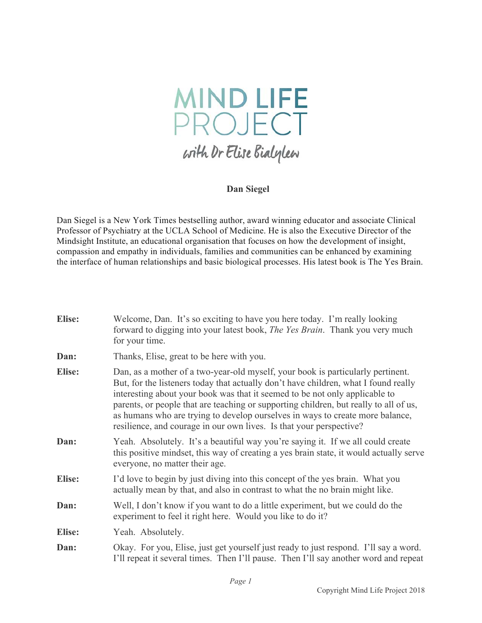

## **Dan Siegel**

Dan Siegel is a New York Times bestselling author, award winning educator and associate Clinical Professor of Psychiatry at the UCLA School of Medicine. He is also the Executive Director of the Mindsight Institute, an educational organisation that focuses on how the development of insight, compassion and empathy in individuals, families and communities can be enhanced by examining the interface of human relationships and basic biological processes. His latest book is The Yes Brain.

| <b>Elise:</b> | Welcome, Dan. It's so exciting to have you here today. I'm really looking<br>forward to digging into your latest book, <i>The Yes Brain</i> . Thank you very much<br>for your time.                                                                                                                                                                                                                                                                                                                    |
|---------------|--------------------------------------------------------------------------------------------------------------------------------------------------------------------------------------------------------------------------------------------------------------------------------------------------------------------------------------------------------------------------------------------------------------------------------------------------------------------------------------------------------|
| Dan:          | Thanks, Elise, great to be here with you.                                                                                                                                                                                                                                                                                                                                                                                                                                                              |
| <b>Elise:</b> | Dan, as a mother of a two-year-old myself, your book is particularly pertinent.<br>But, for the listeners today that actually don't have children, what I found really<br>interesting about your book was that it seemed to be not only applicable to<br>parents, or people that are teaching or supporting children, but really to all of us,<br>as humans who are trying to develop ourselves in ways to create more balance,<br>resilience, and courage in our own lives. Is that your perspective? |
| Dan:          | Yeah. Absolutely. It's a beautiful way you're saying it. If we all could create<br>this positive mindset, this way of creating a yes brain state, it would actually serve<br>everyone, no matter their age.                                                                                                                                                                                                                                                                                            |
| <b>Elise:</b> | I'd love to begin by just diving into this concept of the yes brain. What you<br>actually mean by that, and also in contrast to what the no brain might like.                                                                                                                                                                                                                                                                                                                                          |
| Dan:          | Well, I don't know if you want to do a little experiment, but we could do the<br>experiment to feel it right here. Would you like to do it?                                                                                                                                                                                                                                                                                                                                                            |
| <b>Elise:</b> | Yeah. Absolutely.                                                                                                                                                                                                                                                                                                                                                                                                                                                                                      |
| Dan:          | Okay. For you, Elise, just get yourself just ready to just respond. I'll say a word.<br>I'll repeat it several times. Then I'll pause. Then I'll say another word and repeat                                                                                                                                                                                                                                                                                                                           |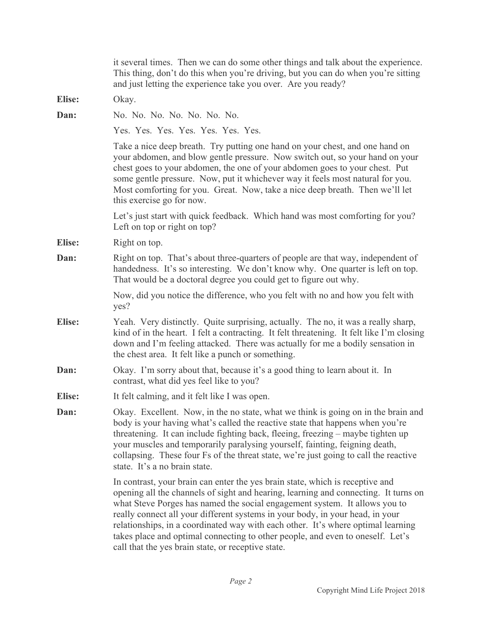|               | it several times. Then we can do some other things and talk about the experience.<br>This thing, don't do this when you're driving, but you can do when you're sitting<br>and just letting the experience take you over. Are you ready?                                                                                                                                                                                                                                                                                                                         |
|---------------|-----------------------------------------------------------------------------------------------------------------------------------------------------------------------------------------------------------------------------------------------------------------------------------------------------------------------------------------------------------------------------------------------------------------------------------------------------------------------------------------------------------------------------------------------------------------|
| <b>Elise:</b> | Okay.                                                                                                                                                                                                                                                                                                                                                                                                                                                                                                                                                           |
| Dan:          | No. No. No. No. No. No. No.                                                                                                                                                                                                                                                                                                                                                                                                                                                                                                                                     |
|               | Yes. Yes. Yes. Yes. Yes. Yes. Yes. Yes.                                                                                                                                                                                                                                                                                                                                                                                                                                                                                                                         |
|               | Take a nice deep breath. Try putting one hand on your chest, and one hand on<br>your abdomen, and blow gentle pressure. Now switch out, so your hand on your<br>chest goes to your abdomen, the one of your abdomen goes to your chest. Put<br>some gentle pressure. Now, put it whichever way it feels most natural for you.<br>Most comforting for you. Great. Now, take a nice deep breath. Then we'll let<br>this exercise go for now.                                                                                                                      |
|               | Let's just start with quick feedback. Which hand was most comforting for you?<br>Left on top or right on top?                                                                                                                                                                                                                                                                                                                                                                                                                                                   |
| Elise:        | Right on top.                                                                                                                                                                                                                                                                                                                                                                                                                                                                                                                                                   |
| Dan:          | Right on top. That's about three-quarters of people are that way, independent of<br>handedness. It's so interesting. We don't know why. One quarter is left on top.<br>That would be a doctoral degree you could get to figure out why.                                                                                                                                                                                                                                                                                                                         |
|               | Now, did you notice the difference, who you felt with no and how you felt with<br>yes?                                                                                                                                                                                                                                                                                                                                                                                                                                                                          |
| <b>Elise:</b> | Yeah. Very distinctly. Quite surprising, actually. The no, it was a really sharp,<br>kind of in the heart. I felt a contracting. It felt threatening. It felt like I'm closing<br>down and I'm feeling attacked. There was actually for me a bodily sensation in<br>the chest area. It felt like a punch or something.                                                                                                                                                                                                                                          |
| Dan:          | Okay. I'm sorry about that, because it's a good thing to learn about it. In<br>contrast, what did yes feel like to you?                                                                                                                                                                                                                                                                                                                                                                                                                                         |
| <b>Elise:</b> | It felt calming, and it felt like I was open.                                                                                                                                                                                                                                                                                                                                                                                                                                                                                                                   |
| Dan:          | Okay. Excellent. Now, in the no state, what we think is going on in the brain and<br>body is your having what's called the reactive state that happens when you're<br>threatening. It can include fighting back, fleeing, freezing – maybe tighten up<br>your muscles and temporarily paralysing yourself, fainting, feigning death,<br>collapsing. These four Fs of the threat state, we're just going to call the reactive<br>state. It's a no brain state.                                                                                                   |
|               | In contrast, your brain can enter the yes brain state, which is receptive and<br>opening all the channels of sight and hearing, learning and connecting. It turns on<br>what Steve Porges has named the social engagement system. It allows you to<br>really connect all your different systems in your body, in your head, in your<br>relationships, in a coordinated way with each other. It's where optimal learning<br>takes place and optimal connecting to other people, and even to oneself. Let's<br>call that the yes brain state, or receptive state. |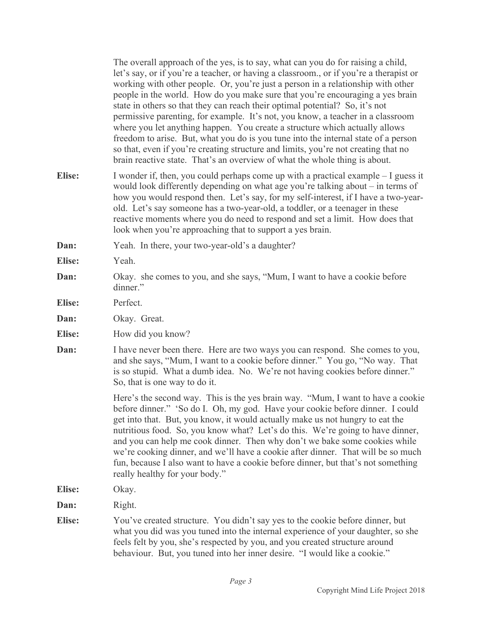The overall approach of the yes, is to say, what can you do for raising a child, let's say, or if you're a teacher, or having a classroom., or if you're a therapist or working with other people. Or, you're just a person in a relationship with other people in the world. How do you make sure that you're encouraging a yes brain state in others so that they can reach their optimal potential? So, it's not permissive parenting, for example. It's not, you know, a teacher in a classroom where you let anything happen. You create a structure which actually allows freedom to arise. But, what you do is you tune into the internal state of a person so that, even if you're creating structure and limits, you're not creating that no brain reactive state. That's an overview of what the whole thing is about.

- **Elise:** I wonder if, then, you could perhaps come up with a practical example I guess it would look differently depending on what age you're talking about – in terms of how you would respond then. Let's say, for my self-interest, if I have a two-yearold. Let's say someone has a two-year-old, a toddler, or a teenager in these reactive moments where you do need to respond and set a limit. How does that look when you're approaching that to support a yes brain.
- **Dan:** Yeah. In there, your two-year-old's a daughter?
- **Elise:** Yeah.
- **Dan:** Okay. she comes to you, and she says, "Mum, I want to have a cookie before dinner."
- **Elise:** Perfect.
- **Dan:** Okay. Great.
- Elise: How did you know?
- **Dan:** I have never been there. Here are two ways you can respond. She comes to you, and she says, "Mum, I want to a cookie before dinner." You go, "No way. That is so stupid. What a dumb idea. No. We're not having cookies before dinner." So, that is one way to do it.

Here's the second way. This is the yes brain way. "Mum, I want to have a cookie before dinner." 'So do I. Oh, my god. Have your cookie before dinner. I could get into that. But, you know, it would actually make us not hungry to eat the nutritious food. So, you know what? Let's do this. We're going to have dinner, and you can help me cook dinner. Then why don't we bake some cookies while we're cooking dinner, and we'll have a cookie after dinner. That will be so much fun, because I also want to have a cookie before dinner, but that's not something really healthy for your body."

**Elise:** Okay.

**Dan:** Right.

**Elise:** You've created structure. You didn't say yes to the cookie before dinner, but what you did was you tuned into the internal experience of your daughter, so she feels felt by you, she's respected by you, and you created structure around behaviour. But, you tuned into her inner desire. "I would like a cookie."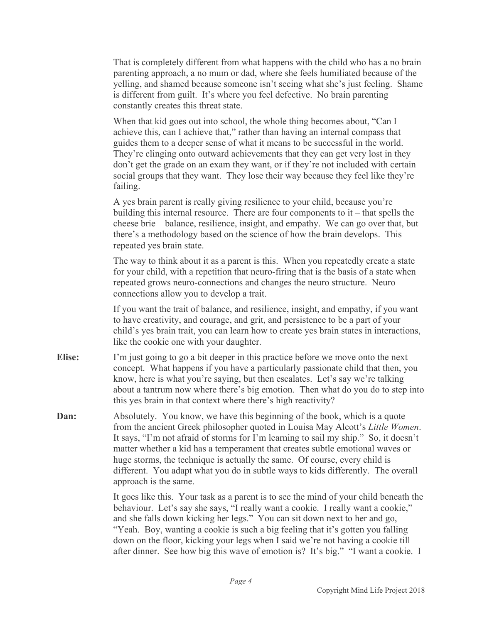That is completely different from what happens with the child who has a no brain parenting approach, a no mum or dad, where she feels humiliated because of the yelling, and shamed because someone isn't seeing what she's just feeling. Shame is different from guilt. It's where you feel defective. No brain parenting constantly creates this threat state.

When that kid goes out into school, the whole thing becomes about, "Can I achieve this, can I achieve that," rather than having an internal compass that guides them to a deeper sense of what it means to be successful in the world. They're clinging onto outward achievements that they can get very lost in they don't get the grade on an exam they want, or if they're not included with certain social groups that they want. They lose their way because they feel like they're failing.

A yes brain parent is really giving resilience to your child, because you're building this internal resource. There are four components to it – that spells the cheese brie – balance, resilience, insight, and empathy. We can go over that, but there's a methodology based on the science of how the brain develops. This repeated yes brain state.

The way to think about it as a parent is this. When you repeatedly create a state for your child, with a repetition that neuro-firing that is the basis of a state when repeated grows neuro-connections and changes the neuro structure. Neuro connections allow you to develop a trait.

If you want the trait of balance, and resilience, insight, and empathy, if you want to have creativity, and courage, and grit, and persistence to be a part of your child's yes brain trait, you can learn how to create yes brain states in interactions, like the cookie one with your daughter.

- **Elise:** I'm just going to go a bit deeper in this practice before we move onto the next concept. What happens if you have a particularly passionate child that then, you know, here is what you're saying, but then escalates. Let's say we're talking about a tantrum now where there's big emotion. Then what do you do to step into this yes brain in that context where there's high reactivity?
- **Dan:** Absolutely. You know, we have this beginning of the book, which is a quote from the ancient Greek philosopher quoted in Louisa May Alcott's *Little Women*. It says, "I'm not afraid of storms for I'm learning to sail my ship." So, it doesn't matter whether a kid has a temperament that creates subtle emotional waves or huge storms, the technique is actually the same. Of course, every child is different. You adapt what you do in subtle ways to kids differently. The overall approach is the same.

It goes like this. Your task as a parent is to see the mind of your child beneath the behaviour. Let's say she says, "I really want a cookie. I really want a cookie," and she falls down kicking her legs." You can sit down next to her and go, "Yeah. Boy, wanting a cookie is such a big feeling that it's gotten you falling down on the floor, kicking your legs when I said we're not having a cookie till after dinner. See how big this wave of emotion is? It's big." "I want a cookie. I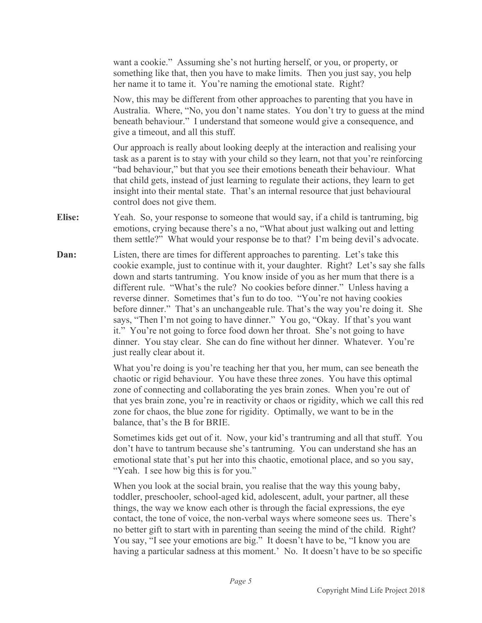want a cookie." Assuming she's not hurting herself, or you, or property, or something like that, then you have to make limits. Then you just say, you help her name it to tame it. You're naming the emotional state. Right?

Now, this may be different from other approaches to parenting that you have in Australia. Where, "No, you don't name states. You don't try to guess at the mind beneath behaviour." I understand that someone would give a consequence, and give a timeout, and all this stuff.

Our approach is really about looking deeply at the interaction and realising your task as a parent is to stay with your child so they learn, not that you're reinforcing "bad behaviour," but that you see their emotions beneath their behaviour. What that child gets, instead of just learning to regulate their actions, they learn to get insight into their mental state. That's an internal resource that just behavioural control does not give them.

- **Elise:** Yeah. So, your response to someone that would say, if a child is tantruming, big emotions, crying because there's a no, "What about just walking out and letting them settle?" What would your response be to that? I'm being devil's advocate.
- **Dan:** Listen, there are times for different approaches to parenting. Let's take this cookie example, just to continue with it, your daughter. Right? Let's say she falls down and starts tantruming. You know inside of you as her mum that there is a different rule. "What's the rule? No cookies before dinner." Unless having a reverse dinner. Sometimes that's fun to do too. "You're not having cookies before dinner." That's an unchangeable rule. That's the way you're doing it. She says, "Then I'm not going to have dinner." You go, "Okay. If that's you want it." You're not going to force food down her throat. She's not going to have dinner. You stay clear. She can do fine without her dinner. Whatever. You're just really clear about it.

What you're doing is you're teaching her that you, her mum, can see beneath the chaotic or rigid behaviour. You have these three zones. You have this optimal zone of connecting and collaborating the yes brain zones. When you're out of that yes brain zone, you're in reactivity or chaos or rigidity, which we call this red zone for chaos, the blue zone for rigidity. Optimally, we want to be in the balance, that's the B for BRIE.

Sometimes kids get out of it. Now, your kid's trantruming and all that stuff. You don't have to tantrum because she's tantruming. You can understand she has an emotional state that's put her into this chaotic, emotional place, and so you say, "Yeah. I see how big this is for you."

When you look at the social brain, you realise that the way this young baby, toddler, preschooler, school-aged kid, adolescent, adult, your partner, all these things, the way we know each other is through the facial expressions, the eye contact, the tone of voice, the non-verbal ways where someone sees us. There's no better gift to start with in parenting than seeing the mind of the child. Right? You say, "I see your emotions are big." It doesn't have to be, "I know you are having a particular sadness at this moment.' No. It doesn't have to be so specific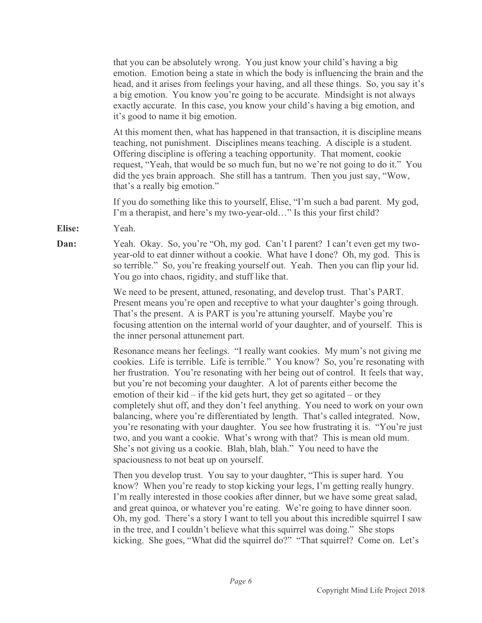that you can be absolutely wrong. You just know your child's having a big emotion. Emotion being a state in which the body is influencing the brain and the head, and it arises from feelings your having, and all these things. So, you say it's a big emotion. You know you're going to be accurate. Mindsight is not always exactly accurate. In this case, you know your child's having a big emotion, and it's good to name it big emotion.

At this moment then, what has happened in that transaction, it is discipline means teaching, not punishment. Disciplines means teaching. A disciple is a student. Offering discipline is offering a teaching opportunity. That moment, cookie request, "Yeah, that would be so much fun, but no we're not going to do it." You did the yes brain approach. She still has a tantrum. Then you just say, "Wow, that's a really big emotion."

If you do something like this to yourself, Elise, "I'm such a bad parent. My god, I'm a therapist, and here's my two-year-old…" Is this your first child?

- **Elise:** Yeah.
- **Dan:** Yeah. Okay. So, you're "Oh, my god. Can't I parent? I can't even get my twoyear-old to eat dinner without a cookie. What have I done? Oh, my god. This is so terrible." So, you're freaking yourself out. Yeah. Then you can flip your lid. You go into chaos, rigidity, and stuff like that.

We need to be present, attuned, resonating, and develop trust. That's PART. Present means you're open and receptive to what your daughter's going through. That's the present. A is PART is you're attuning yourself. Maybe you're focusing attention on the internal world of your daughter, and of yourself. This is the inner personal attunement part.

Resonance means her feelings. "I really want cookies. My mum's not giving me cookies. Life is terrible. Life is terrible." You know? So, you're resonating with her frustration. You're resonating with her being out of control. It feels that way, but you're not becoming your daughter. A lot of parents either become the emotion of their kid – if the kid gets hurt, they get so agitated – or they completely shut off, and they don't feel anything. You need to work on your own balancing, where you're differentiated by length. That's called integrated. Now, you're resonating with your daughter. You see how frustrating it is. "You're just two, and you want a cookie. What's wrong with that? This is mean old mum. She's not giving us a cookie. Blah, blah, blah." You need to have the spaciousness to not beat up on yourself.

Then you develop trust. You say to your daughter, "This is super hard. You know? When you're ready to stop kicking your legs, I'm getting really hungry. I'm really interested in those cookies after dinner, but we have some great salad, and great quinoa, or whatever you're eating. We're going to have dinner soon. Oh, my god. There's a story I want to tell you about this incredible squirrel I saw in the tree, and I couldn't believe what this squirrel was doing." She stops kicking. She goes, "What did the squirrel do?" "That squirrel? Come on. Let's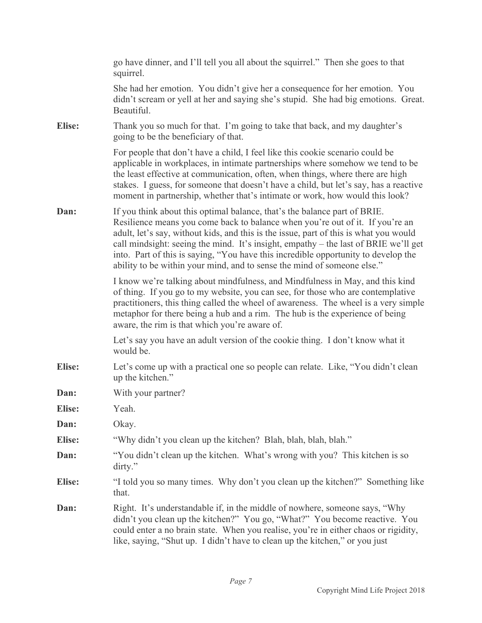|               | go have dinner, and I'll tell you all about the squirrel." Then she goes to that<br>squirrel.                                                                                                                                                                                                                                                                                                                                                                                                               |
|---------------|-------------------------------------------------------------------------------------------------------------------------------------------------------------------------------------------------------------------------------------------------------------------------------------------------------------------------------------------------------------------------------------------------------------------------------------------------------------------------------------------------------------|
|               | She had her emotion. You didn't give her a consequence for her emotion. You<br>didn't scream or yell at her and saying she's stupid. She had big emotions. Great.<br>Beautiful.                                                                                                                                                                                                                                                                                                                             |
| Elise:        | Thank you so much for that. I'm going to take that back, and my daughter's<br>going to be the beneficiary of that.                                                                                                                                                                                                                                                                                                                                                                                          |
|               | For people that don't have a child, I feel like this cookie scenario could be<br>applicable in workplaces, in intimate partnerships where somehow we tend to be<br>the least effective at communication, often, when things, where there are high<br>stakes. I guess, for someone that doesn't have a child, but let's say, has a reactive<br>moment in partnership, whether that's intimate or work, how would this look?                                                                                  |
| Dan:          | If you think about this optimal balance, that's the balance part of BRIE.<br>Resilience means you come back to balance when you're out of it. If you're an<br>adult, let's say, without kids, and this is the issue, part of this is what you would<br>call mindsight: seeing the mind. It's insight, empathy – the last of BRIE we'll get<br>into. Part of this is saying, "You have this incredible opportunity to develop the<br>ability to be within your mind, and to sense the mind of someone else." |
|               | I know we're talking about mindfulness, and Mindfulness in May, and this kind<br>of thing. If you go to my website, you can see, for those who are contemplative<br>practitioners, this thing called the wheel of awareness. The wheel is a very simple<br>metaphor for there being a hub and a rim. The hub is the experience of being<br>aware, the rim is that which you're aware of.                                                                                                                    |
|               | Let's say you have an adult version of the cookie thing. I don't know what it<br>would be.                                                                                                                                                                                                                                                                                                                                                                                                                  |
| <b>Elise:</b> | Let's come up with a practical one so people can relate. Like, "You didn't clean<br>up the kitchen."                                                                                                                                                                                                                                                                                                                                                                                                        |
| Dan:          | With your partner?                                                                                                                                                                                                                                                                                                                                                                                                                                                                                          |
| <b>Elise:</b> | Yeah.                                                                                                                                                                                                                                                                                                                                                                                                                                                                                                       |
| Dan:          | Okay.                                                                                                                                                                                                                                                                                                                                                                                                                                                                                                       |
| <b>Elise:</b> | "Why didn't you clean up the kitchen? Blah, blah, blah, blah."                                                                                                                                                                                                                                                                                                                                                                                                                                              |
| Dan:          | "You didn't clean up the kitchen. What's wrong with you? This kitchen is so<br>dirty."                                                                                                                                                                                                                                                                                                                                                                                                                      |
| <b>Elise:</b> | "I told you so many times. Why don't you clean up the kitchen?" Something like<br>that.                                                                                                                                                                                                                                                                                                                                                                                                                     |
| Dan:          | Right. It's understandable if, in the middle of nowhere, someone says, "Why"<br>didn't you clean up the kitchen?" You go, "What?" You become reactive. You<br>could enter a no brain state. When you realise, you're in either chaos or rigidity,<br>like, saying, "Shut up. I didn't have to clean up the kitchen," or you just                                                                                                                                                                            |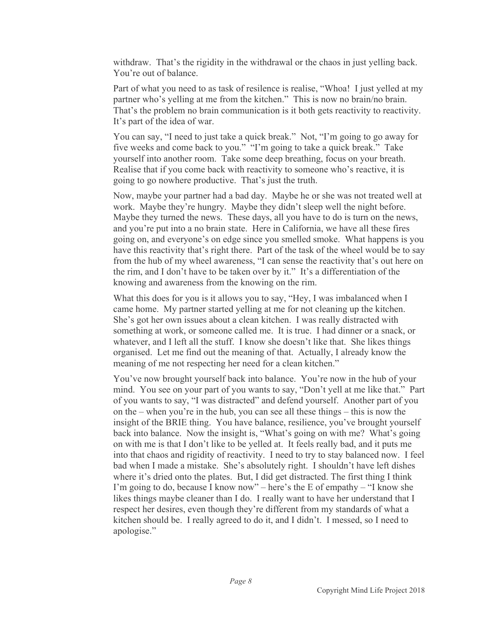withdraw. That's the rigidity in the withdrawal or the chaos in just yelling back. You're out of balance.

Part of what you need to as task of resilence is realise, "Whoa! I just yelled at my partner who's yelling at me from the kitchen." This is now no brain/no brain. That's the problem no brain communication is it both gets reactivity to reactivity. It's part of the idea of war.

You can say, "I need to just take a quick break." Not, "I'm going to go away for five weeks and come back to you." "I'm going to take a quick break." Take yourself into another room. Take some deep breathing, focus on your breath. Realise that if you come back with reactivity to someone who's reactive, it is going to go nowhere productive. That's just the truth.

Now, maybe your partner had a bad day. Maybe he or she was not treated well at work. Maybe they're hungry. Maybe they didn't sleep well the night before. Maybe they turned the news. These days, all you have to do is turn on the news, and you're put into a no brain state. Here in California, we have all these fires going on, and everyone's on edge since you smelled smoke. What happens is you have this reactivity that's right there. Part of the task of the wheel would be to say from the hub of my wheel awareness, "I can sense the reactivity that's out here on the rim, and I don't have to be taken over by it." It's a differentiation of the knowing and awareness from the knowing on the rim.

What this does for you is it allows you to say, "Hey, I was imbalanced when I came home. My partner started yelling at me for not cleaning up the kitchen. She's got her own issues about a clean kitchen. I was really distracted with something at work, or someone called me. It is true. I had dinner or a snack, or whatever, and I left all the stuff. I know she doesn't like that. She likes things organised. Let me find out the meaning of that. Actually, I already know the meaning of me not respecting her need for a clean kitchen."

You've now brought yourself back into balance. You're now in the hub of your mind. You see on your part of you wants to say, "Don't yell at me like that." Part of you wants to say, "I was distracted" and defend yourself. Another part of you on the – when you're in the hub, you can see all these things – this is now the insight of the BRIE thing. You have balance, resilience, you've brought yourself back into balance. Now the insight is, "What's going on with me? What's going on with me is that I don't like to be yelled at. It feels really bad, and it puts me into that chaos and rigidity of reactivity. I need to try to stay balanced now. I feel bad when I made a mistake. She's absolutely right. I shouldn't have left dishes where it's dried onto the plates. But, I did get distracted. The first thing I think I'm going to do, because I know now" – here's the E of empathy – "I know she likes things maybe cleaner than I do. I really want to have her understand that I respect her desires, even though they're different from my standards of what a kitchen should be. I really agreed to do it, and I didn't. I messed, so I need to apologise."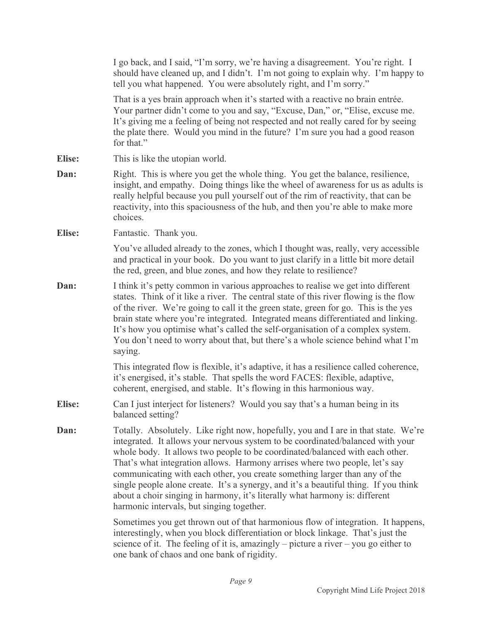|               | I go back, and I said, "I'm sorry, we're having a disagreement. You're right. I<br>should have cleaned up, and I didn't. I'm not going to explain why. I'm happy to<br>tell you what happened. You were absolutely right, and I'm sorry."                                                                                                                                                                                                                                                                                                                                                                                             |
|---------------|---------------------------------------------------------------------------------------------------------------------------------------------------------------------------------------------------------------------------------------------------------------------------------------------------------------------------------------------------------------------------------------------------------------------------------------------------------------------------------------------------------------------------------------------------------------------------------------------------------------------------------------|
|               | That is a yes brain approach when it's started with a reactive no brain entrée.<br>Your partner didn't come to you and say, "Excuse, Dan," or, "Elise, excuse me.<br>It's giving me a feeling of being not respected and not really cared for by seeing<br>the plate there. Would you mind in the future? I'm sure you had a good reason<br>for that."                                                                                                                                                                                                                                                                                |
| <b>Elise:</b> | This is like the utopian world.                                                                                                                                                                                                                                                                                                                                                                                                                                                                                                                                                                                                       |
| Dan:          | Right. This is where you get the whole thing. You get the balance, resilience,<br>insight, and empathy. Doing things like the wheel of awareness for us as adults is<br>really helpful because you pull yourself out of the rim of reactivity, that can be<br>reactivity, into this spaciousness of the hub, and then you're able to make more<br>choices.                                                                                                                                                                                                                                                                            |
| <b>Elise:</b> | Fantastic. Thank you.                                                                                                                                                                                                                                                                                                                                                                                                                                                                                                                                                                                                                 |
|               | You've alluded already to the zones, which I thought was, really, very accessible<br>and practical in your book. Do you want to just clarify in a little bit more detail<br>the red, green, and blue zones, and how they relate to resilience?                                                                                                                                                                                                                                                                                                                                                                                        |
| Dan:          | I think it's petty common in various approaches to realise we get into different<br>states. Think of it like a river. The central state of this river flowing is the flow<br>of the river. We're going to call it the green state, green for go. This is the yes<br>brain state where you're integrated. Integrated means differentiated and linking.<br>It's how you optimise what's called the self-organisation of a complex system.<br>You don't need to worry about that, but there's a whole science behind what I'm<br>saying.                                                                                                 |
|               | This integrated flow is flexible, it's adaptive, it has a resilience called coherence,<br>it's energised, it's stable. That spells the word FACES: flexible, adaptive,<br>coherent, energised, and stable. It's flowing in this harmonious way.                                                                                                                                                                                                                                                                                                                                                                                       |
| <b>Elise:</b> | Can I just interject for listeners? Would you say that's a human being in its<br>balanced setting?                                                                                                                                                                                                                                                                                                                                                                                                                                                                                                                                    |
| Dan:          | Totally. Absolutely. Like right now, hopefully, you and I are in that state. We're<br>integrated. It allows your nervous system to be coordinated/balanced with your<br>whole body. It allows two people to be coordinated/balanced with each other.<br>That's what integration allows. Harmony arrises where two people, let's say<br>communicating with each other, you create something larger than any of the<br>single people alone create. It's a synergy, and it's a beautiful thing. If you think<br>about a choir singing in harmony, it's literally what harmony is: different<br>harmonic intervals, but singing together. |
|               | Sometimes you get thrown out of that harmonious flow of integration. It happens,<br>interestingly, when you block differentiation or block linkage. That's just the<br>science of it. The feeling of it is, amazingly – picture a river – you go either to<br>one bank of chaos and one bank of rigidity.                                                                                                                                                                                                                                                                                                                             |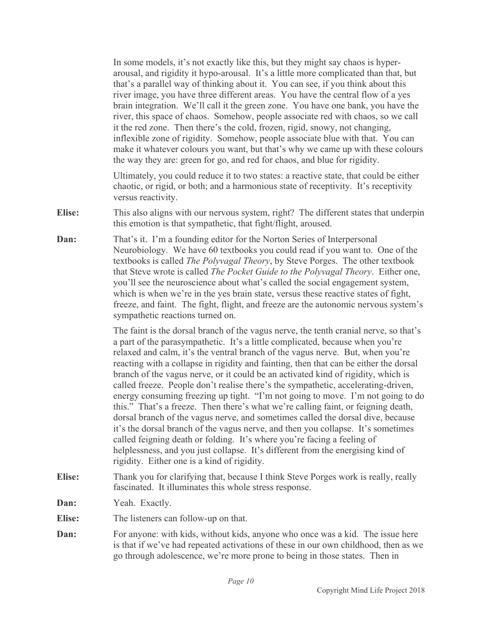In some models, it's not exactly like this, but they might say chaos is hyperarousal, and rigidity it hypo-arousal. It's a little more complicated than that, but that's a parallel way of thinking about it. You can see, if you think about this river image, you have three different areas. You have the central flow of a yes brain integration. We'll call it the green zone. You have one bank, you have the river, this space of chaos. Somehow, people associate red with chaos, so we call it the red zone. Then there's the cold, frozen, rigid, snowy, not changing, inflexible zone of rigidity. Somehow, people associate blue with that. You can make it whatever colours you want, but that's why we came up with these colours the way they are: green for go, and red for chaos, and blue for rigidity.

Ultimately, you could reduce it to two states: a reactive state, that could be either chaotic, or rigid, or both; and a harmonious state of receptivity. It's receptivity versus reactivity.

- **Elise:** This also aligns with our nervous system, right? The different states that underpin this emotion is that sympathetic, that fight/flight, aroused.
- **Dan:** That's it. I'm a founding editor for the Norton Series of Interpersonal Neurobiology. We have 60 textbooks you could read if you want to. One of the textbooks is called *The Polyvagal Theory*, by Steve Porges. The other textbook that Steve wrote is called *The Pocket Guide to the Polyvagal Theory*. Either one, you'll see the neuroscience about what's called the social engagement system, which is when we're in the yes brain state, versus these reactive states of fight, freeze, and faint. The fight, flight, and freeze are the autonomic nervous system's sympathetic reactions turned on.

The faint is the dorsal branch of the vagus nerve, the tenth cranial nerve, so that's a part of the parasympathetic. It's a little complicated, because when you're relaxed and calm, it's the ventral branch of the vagus nerve. But, when you're reacting with a collapse in rigidity and fainting, then that can be either the dorsal branch of the vagus nerve, or it could be an activated kind of rigidity, which is called freeze. People don't realise there's the sympathetic, accelerating-driven, energy consuming freezing up tight. "I'm not going to move. I'm not going to do this." That's a freeze. Then there's what we're calling faint, or feigning death, dorsal branch of the vagus nerve, and sometimes called the dorsal dive, because it's the dorsal branch of the vagus nerve, and then you collapse. It's sometimes called feigning death or folding. It's where you're facing a feeling of helplessness, and you just collapse. It's different from the energising kind of rigidity. Either one is a kind of rigidity.

- **Elise:** Thank you for clarifying that, because I think Steve Porges work is really, really fascinated. It illuminates this whole stress response.
- **Dan:** Yeah. Exactly.
- **Elise:** The listeners can follow-up on that.
- **Dan:** For anyone: with kids, without kids, anyone who once was a kid. The issue here is that if we've had repeated activations of these in our own childhood, then as we go through adolescence, we're more prone to being in those states. Then in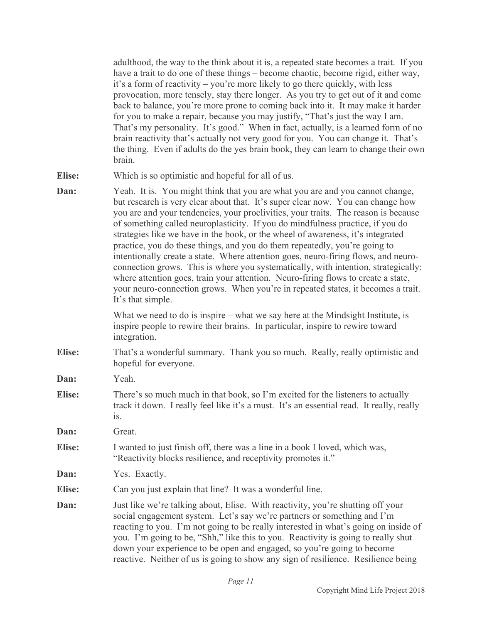adulthood, the way to the think about it is, a repeated state becomes a trait. If you have a trait to do one of these things – become chaotic, become rigid, either way, it's a form of reactivity – you're more likely to go there quickly, with less provocation, more tensely, stay there longer. As you try to get out of it and come back to balance, you're more prone to coming back into it. It may make it harder for you to make a repair, because you may justify, "That's just the way I am. That's my personality. It's good." When in fact, actually, is a learned form of no brain reactivity that's actually not very good for you. You can change it. That's the thing. Even if adults do the yes brain book, they can learn to change their own brain.

- **Elise:** Which is so optimistic and hopeful for all of us.
- **Dan:** Yeah. It is. You might think that you are what you are and you cannot change, but research is very clear about that. It's super clear now. You can change how you are and your tendencies, your proclivities, your traits. The reason is because of something called neuroplasticity. If you do mindfulness practice, if you do strategies like we have in the book, or the wheel of awareness, it's integrated practice, you do these things, and you do them repeatedly, you're going to intentionally create a state. Where attention goes, neuro-firing flows, and neuroconnection grows. This is where you systematically, with intention, strategically: where attention goes, train your attention. Neuro-firing flows to create a state, your neuro-connection grows. When you're in repeated states, it becomes a trait. It's that simple.

What we need to do is inspire – what we say here at the Mindsight Institute, is inspire people to rewire their brains. In particular, inspire to rewire toward integration.

**Elise:** That's a wonderful summary. Thank you so much. Really, really optimistic and hopeful for everyone.

**Dan:** Yeah.

- **Elise:** There's so much much in that book, so I'm excited for the listeners to actually track it down. I really feel like it's a must. It's an essential read. It really, really is.
- **Dan:** Great.
- **Elise:** I wanted to just finish off, there was a line in a book I loved, which was, "Reactivity blocks resilience, and receptivity promotes it."
- **Dan:** Yes. Exactly.
- **Elise:** Can you just explain that line? It was a wonderful line.
- **Dan:** Just like we're talking about, Elise. With reactivity, you're shutting off your social engagement system. Let's say we're partners or something and I'm reacting to you. I'm not going to be really interested in what's going on inside of you. I'm going to be, "Shh," like this to you. Reactivity is going to really shut down your experience to be open and engaged, so you're going to become reactive. Neither of us is going to show any sign of resilience. Resilience being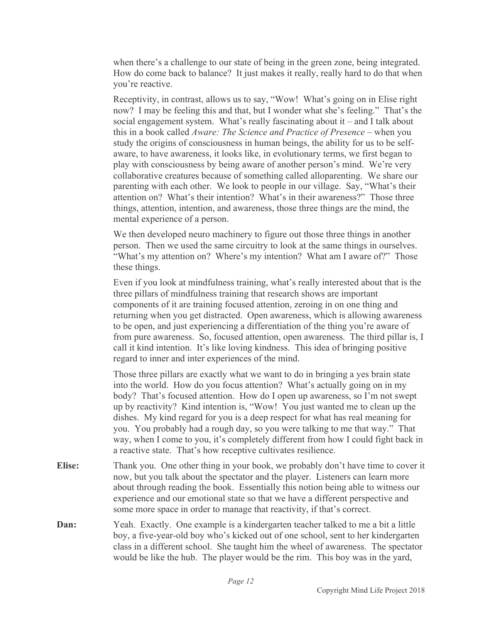when there's a challenge to our state of being in the green zone, being integrated. How do come back to balance? It just makes it really, really hard to do that when you're reactive.

Receptivity, in contrast, allows us to say, "Wow! What's going on in Elise right now? I may be feeling this and that, but I wonder what she's feeling." That's the social engagement system. What's really fascinating about it – and I talk about this in a book called *Aware: The Science and Practice of Presence* – when you study the origins of consciousness in human beings, the ability for us to be selfaware, to have awareness, it looks like, in evolutionary terms, we first began to play with consciousness by being aware of another person's mind. We're very collaborative creatures because of something called alloparenting. We share our parenting with each other. We look to people in our village. Say, "What's their attention on? What's their intention? What's in their awareness?" Those three things, attention, intention, and awareness, those three things are the mind, the mental experience of a person.

We then developed neuro machinery to figure out those three things in another person. Then we used the same circuitry to look at the same things in ourselves. "What's my attention on? Where's my intention? What am I aware of?" Those these things.

Even if you look at mindfulness training, what's really interested about that is the three pillars of mindfulness training that research shows are important components of it are training focused attention, zeroing in on one thing and returning when you get distracted. Open awareness, which is allowing awareness to be open, and just experiencing a differentiation of the thing you're aware of from pure awareness. So, focused attention, open awareness. The third pillar is, I call it kind intention. It's like loving kindness. This idea of bringing positive regard to inner and inter experiences of the mind.

Those three pillars are exactly what we want to do in bringing a yes brain state into the world. How do you focus attention? What's actually going on in my body? That's focused attention. How do I open up awareness, so I'm not swept up by reactivity? Kind intention is, "Wow! You just wanted me to clean up the dishes. My kind regard for you is a deep respect for what has real meaning for you. You probably had a rough day, so you were talking to me that way." That way, when I come to you, it's completely different from how I could fight back in a reactive state. That's how receptive cultivates resilience.

- **Elise:** Thank you. One other thing in your book, we probably don't have time to cover it now, but you talk about the spectator and the player. Listeners can learn more about through reading the book. Essentially this notion being able to witness our experience and our emotional state so that we have a different perspective and some more space in order to manage that reactivity, if that's correct.
- **Dan:** Yeah. Exactly. One example is a kindergarten teacher talked to me a bit a little boy, a five-year-old boy who's kicked out of one school, sent to her kindergarten class in a different school. She taught him the wheel of awareness. The spectator would be like the hub. The player would be the rim. This boy was in the yard,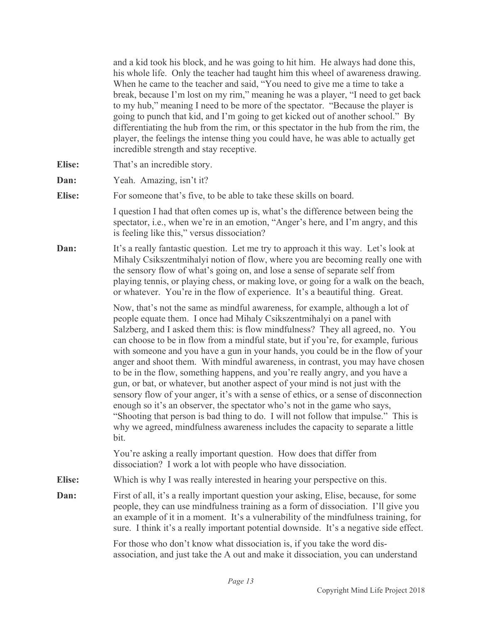and a kid took his block, and he was going to hit him. He always had done this, his whole life. Only the teacher had taught him this wheel of awareness drawing. When he came to the teacher and said, "You need to give me a time to take a break, because I'm lost on my rim," meaning he was a player, "I need to get back to my hub," meaning I need to be more of the spectator. "Because the player is going to punch that kid, and I'm going to get kicked out of another school." By differentiating the hub from the rim, or this spectator in the hub from the rim, the player, the feelings the intense thing you could have, he was able to actually get incredible strength and stay receptive.

- **Elise:** That's an incredible story.
- **Dan:** Yeah. Amazing, isn't it?

**Elise:** For someone that's five, to be able to take these skills on board.

I question I had that often comes up is, what's the difference between being the spectator, i.e., when we're in an emotion, "Anger's here, and I'm angry, and this is feeling like this," versus dissociation?

**Dan:** It's a really fantastic question. Let me try to approach it this way. Let's look at Mihaly Csikszentmihalyi notion of flow, where you are becoming really one with the sensory flow of what's going on, and lose a sense of separate self from playing tennis, or playing chess, or making love, or going for a walk on the beach, or whatever. You're in the flow of experience. It's a beautiful thing. Great.

> Now, that's not the same as mindful awareness, for example, although a lot of people equate them. I once had Mihaly Csikszentmihalyi on a panel with Salzberg, and I asked them this: is flow mindfulness? They all agreed, no. You can choose to be in flow from a mindful state, but if you're, for example, furious with someone and you have a gun in your hands, you could be in the flow of your anger and shoot them. With mindful awareness, in contrast, you may have chosen to be in the flow, something happens, and you're really angry, and you have a gun, or bat, or whatever, but another aspect of your mind is not just with the sensory flow of your anger, it's with a sense of ethics, or a sense of disconnection enough so it's an observer, the spectator who's not in the game who says, "Shooting that person is bad thing to do. I will not follow that impulse." This is why we agreed, mindfulness awareness includes the capacity to separate a little bit.

You're asking a really important question. How does that differ from dissociation? I work a lot with people who have dissociation.

**Elise:** Which is why I was really interested in hearing your perspective on this.

**Dan:** First of all, it's a really important question your asking, Elise, because, for some people, they can use mindfulness training as a form of dissociation. I'll give you an example of it in a moment. It's a vulnerability of the mindfulness training, for sure. I think it's a really important potential downside. It's a negative side effect.

> For those who don't know what dissociation is, if you take the word disassociation, and just take the A out and make it dissociation, you can understand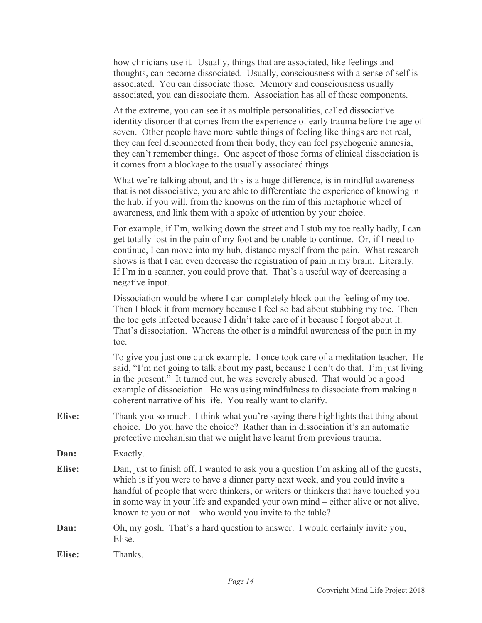|               | how clinicians use it. Usually, things that are associated, like feelings and<br>thoughts, can become dissociated. Usually, consciousness with a sense of self is<br>associated. You can dissociate those. Memory and consciousness usually<br>associated, you can dissociate them. Association has all of these components.                                                                                                                                                                 |
|---------------|----------------------------------------------------------------------------------------------------------------------------------------------------------------------------------------------------------------------------------------------------------------------------------------------------------------------------------------------------------------------------------------------------------------------------------------------------------------------------------------------|
|               | At the extreme, you can see it as multiple personalities, called dissociative<br>identity disorder that comes from the experience of early trauma before the age of<br>seven. Other people have more subtle things of feeling like things are not real,<br>they can feel disconnected from their body, they can feel psychogenic amnesia,<br>they can't remember things. One aspect of those forms of clinical dissociation is<br>it comes from a blockage to the usually associated things. |
|               | What we're talking about, and this is a huge difference, is in mindful awareness<br>that is not dissociative, you are able to differentiate the experience of knowing in<br>the hub, if you will, from the knowns on the rim of this metaphoric wheel of<br>awareness, and link them with a spoke of attention by your choice.                                                                                                                                                               |
|               | For example, if I'm, walking down the street and I stub my toe really badly, I can<br>get totally lost in the pain of my foot and be unable to continue. Or, if I need to<br>continue, I can move into my hub, distance myself from the pain. What research<br>shows is that I can even decrease the registration of pain in my brain. Literally.<br>If I'm in a scanner, you could prove that. That's a useful way of decreasing a<br>negative input.                                       |
|               | Dissociation would be where I can completely block out the feeling of my toe.<br>Then I block it from memory because I feel so bad about stubbing my toe. Then<br>the toe gets infected because I didn't take care of it because I forgot about it.<br>That's dissociation. Whereas the other is a mindful awareness of the pain in my<br>toe.                                                                                                                                               |
|               | To give you just one quick example. I once took care of a meditation teacher. He<br>said, "I'm not going to talk about my past, because I don't do that. I'm just living<br>in the present." It turned out, he was severely abused. That would be a good<br>example of dissociation. He was using mindfulness to dissociate from making a<br>coherent narrative of his life. You really want to clarify.                                                                                     |
| <b>Elise:</b> | Thank you so much. I think what you're saying there highlights that thing about<br>choice. Do you have the choice? Rather than in dissociation it's an automatic<br>protective mechanism that we might have learnt from previous trauma.                                                                                                                                                                                                                                                     |
| Dan:          | Exactly.                                                                                                                                                                                                                                                                                                                                                                                                                                                                                     |
| <b>Elise:</b> | Dan, just to finish off, I wanted to ask you a question I'm asking all of the guests,<br>which is if you were to have a dinner party next week, and you could invite a<br>handful of people that were thinkers, or writers or thinkers that have touched you<br>in some way in your life and expanded your own mind – either alive or not alive,<br>known to you or not – who would you invite to the table?                                                                                 |
| Dan:          | Oh, my gosh. That's a hard question to answer. I would certainly invite you,<br>Elise.                                                                                                                                                                                                                                                                                                                                                                                                       |
| <b>Elise:</b> | Thanks.                                                                                                                                                                                                                                                                                                                                                                                                                                                                                      |